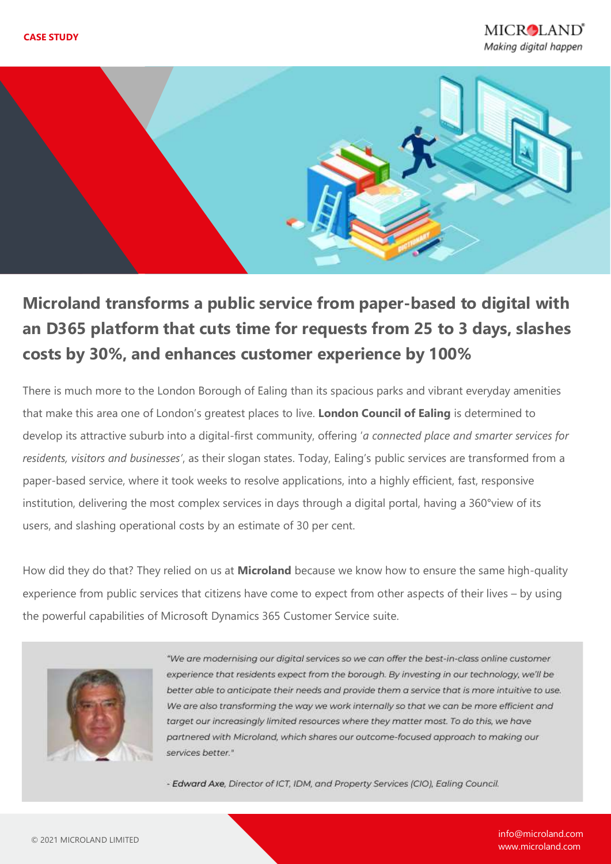

# **Microland transforms a public service from paper-based to digital with an D365 platform that cuts time for requests from 25 to 3 days, slashes costs by 30%, and enhances customer experience by 100%**

There is much more to the London Borough of Ealing than its spacious parks and vibrant everyday amenities that make this area one of London's greatest places to live. **London Council of Ealing** is determined to develop its attractive suburb into a digital-first community, offering '*a connected place and smarter services for residents, visitors and businesses'*, as their slogan states. Today, Ealing's public services are transformed from a paper-based service, where it took weeks to resolve applications, into a highly efficient, fast, responsive institution, delivering the most complex services in days through a digital portal, having a 360°view of its users, and slashing operational costs by an estimate of 30 per cent.

How did they do that? They relied on us at **Microland** because we know how to ensure the same high-quality experience from public services that citizens have come to expect from other aspects of their lives – by using the powerful capabilities of Microsoft Dynamics 365 Customer Service suite.



"We are modernising our digital services so we can offer the best-in-class online customer experience that residents expect from the borough. By investing in our technology, we'll be better able to anticipate their needs and provide them a service that is more intuitive to use. We are also transforming the way we work internally so that we can be more efficient and target our increasingly limited resources where they matter most. To do this, we have partnered with Microland, which shares our outcome-focused approach to making our services better."

- Edward Axe, Director of ICT, IDM, and Property Services (CIO), Ealing Council.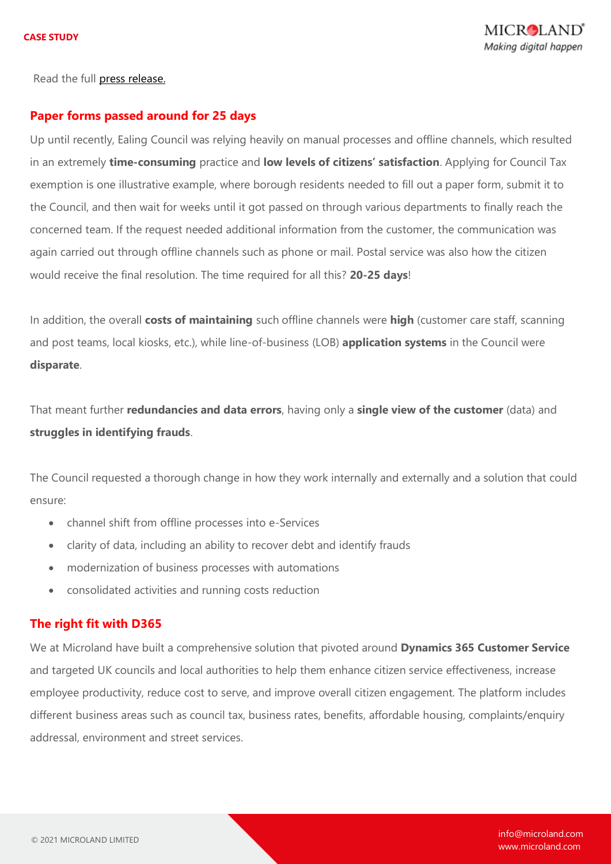Read the full [press release.](https://www.microland.com/pr/Digital-services-for-london-borough)

#### **Paper forms passed around for 25 days**

Up until recently, Ealing Council was relying heavily on manual processes and offline channels, which resulted in an extremely **time-consuming** practice and **low levels of citizens' satisfaction**. Applying for Council Tax exemption is one illustrative example, where borough residents needed to fill out a paper form, submit it to the Council, and then wait for weeks until it got passed on through various departments to finally reach the concerned team. If the request needed additional information from the customer, the communication was again carried out through offline channels such as phone or mail. Postal service was also how the citizen would receive the final resolution. The time required for all this? **20-25 days**!

In addition, the overall **costs of maintaining** such offline channels were **high** (customer care staff, scanning and post teams, local kiosks, etc.), while line-of-business (LOB) **application systems** in the Council were **disparate**.

That meant further **redundancies and data errors**, having only a **single view of the customer** (data) and **struggles in identifying frauds**.

The Council requested a thorough change in how they work internally and externally and a solution that could ensure:

- channel shift from offline processes into e-Services
- clarity of data, including an ability to recover debt and identify frauds
- modernization of business processes with automations
- consolidated activities and running costs reduction

#### **The right fit with D365**

We at Microland have built a comprehensive solution that pivoted around **Dynamics 365 Customer Service** and targeted UK councils and local authorities to help them enhance citizen service effectiveness, increase employee productivity, reduce cost to serve, and improve overall citizen engagement. The platform includes different business areas such as council tax, business rates, benefits, affordable housing, complaints/enquiry addressal, environment and street services.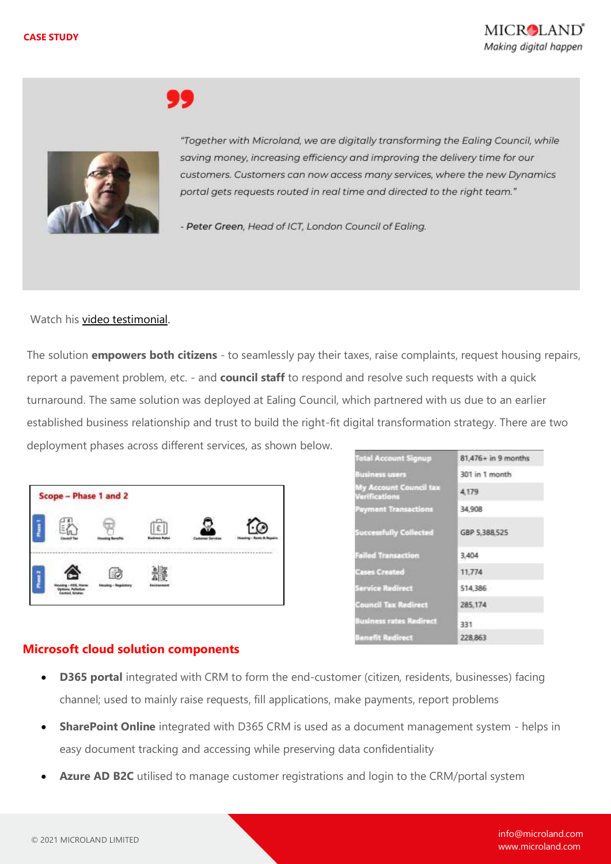

"Together with Microland, we are digitally transforming the Ealing Council, while saving money, increasing efficiency and improving the delivery time for our customers. Customers can now access many services, where the new Dynamics portal gets requests routed in real time and directed to the right team."

- Peter Green, Head of ICT, London Council of Ealing.

Watch his [video testimonial.](https://www.microland.com/relationships/clients)

The solution **empowers both citizens** - to seamlessly pay their taxes, raise complaints, request housing repairs, report a pavement problem, etc. - and **council staff** to respond and resolve such requests with a quick turnaround. The same solution was deployed at Ealing Council, which partnered with us due to an earlier established business relationship and trust to build the right-fit digital transformation strategy. There are two deployment phases across different services, as shown below.

| Scope - Phase 1 and 2        |                              |                    |                         |  |
|------------------------------|------------------------------|--------------------|-------------------------|--|
| <b>CONTRACTOR</b>            | 1983-1988 1999 1999 19       | 다 정보 사항 공격을 하고 있다. | 5-5-2004-09-11-12-23-04 |  |
| and the state of the control | <b>STORY OF LAND CAR AND</b> | <u>Philadel</u>    |                         |  |

| <b>Total Account Signup</b>                    | $81,476+$ in 9 months |  |  |
|------------------------------------------------|-----------------------|--|--|
| Business users                                 | 301 in 1 month        |  |  |
| My Account Council tax<br><b>Verifications</b> | 4.179                 |  |  |
| Payment Transactions                           | 34,908                |  |  |
| <b>Successfully Collected</b>                  | GBP 5,388,525         |  |  |
| <b>Failed Transaction</b>                      | 3,404                 |  |  |
| <b>Cases Created</b>                           | 11,774                |  |  |
| Service Redirect                               | 514,386               |  |  |
| <b>Council Tax Redirect</b>                    | 285.174               |  |  |
| <b>Business rates Redirect</b>                 | 331                   |  |  |
| Banefit Redirect                               | 228.863               |  |  |

### **Microsoft cloud solution components**

- **D365 portal** integrated with CRM to form the end-customer (citizen, residents, businesses) facing channel; used to mainly raise requests, fill applications, make payments, report problems
- **SharePoint Online** integrated with D365 CRM is used as a document management system helps in easy document tracking and accessing while preserving data confidentiality
- **Azure AD B2C** utilised to manage customer registrations and login to the CRM/portal system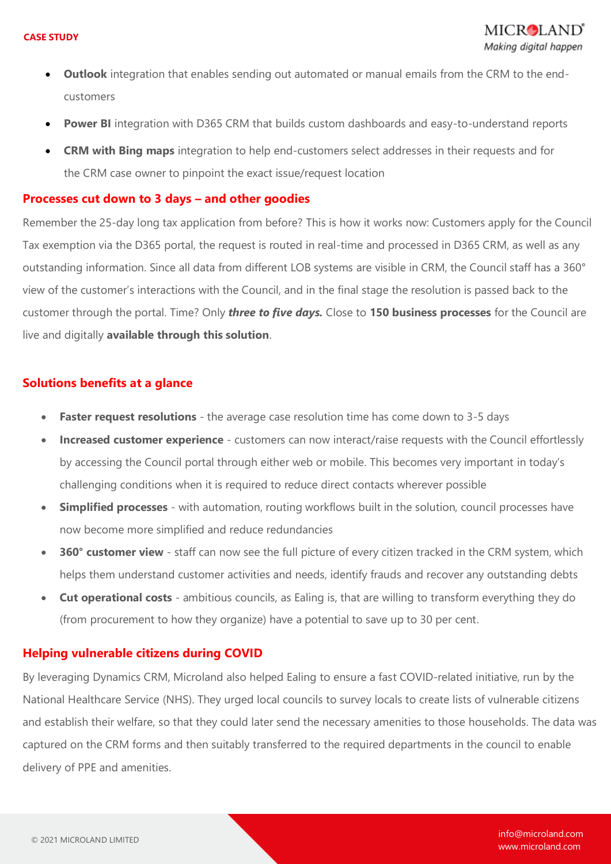- **Outlook** integration that enables sending out automated or manual emails from the CRM to the endcustomers
- **Power BI** integration with D365 CRM that builds custom dashboards and easy-to-understand reports
- **CRM with Bing maps** integration to help end-customers select addresses in their requests and for the CRM case owner to pinpoint the exact issue/request location

#### **Processes cut down to 3 days – and other goodies**

Remember the 25-day long tax application from before? This is how it works now: Customers apply for the Council Tax exemption via the D365 portal, the request is routed in real-time and processed in D365 CRM, as well as any outstanding information. Since all data from different LOB systems are visible in CRM, the Council staff has a 360° view of the customer's interactions with the Council, and in the final stage the resolution is passed back to the customer through the portal. Time? Only *three to five days.* Close to **150 business processes** for the Council are live and digitally **available through this solution**.

#### **Solutions benefits at a glance**

- **Faster request resolutions** the average case resolution time has come down to 3-5 days
- **Increased customer experience** customers can now interact/raise requests with the Council effortlessly by accessing the Council portal through either web or mobile. This becomes very important in today's challenging conditions when it is required to reduce direct contacts wherever possible
- **Simplified processes** with automation, routing workflows built in the solution, council processes have now become more simplified and reduce redundancies
- **360° customer view** staff can now see the full picture of every citizen tracked in the CRM system, which helps them understand customer activities and needs, identify frauds and recover any outstanding debts
- **Cut operational costs**  ambitious councils, as Ealing is, that are willing to transform everything they do (from procurement to how they organize) have a potential to save up to 30 per cent.

#### **Helping vulnerable citizens during COVID**

By leveraging Dynamics CRM, Microland also helped Ealing to ensure a fast COVID-related initiative, run by the National Healthcare Service (NHS). They urged local councils to survey locals to create lists of vulnerable citizens and establish their welfare, so that they could later send the necessary amenities to those households. The data was captured on the CRM forms and then suitably transferred to the required departments in the council to enable delivery of PPE and amenities.